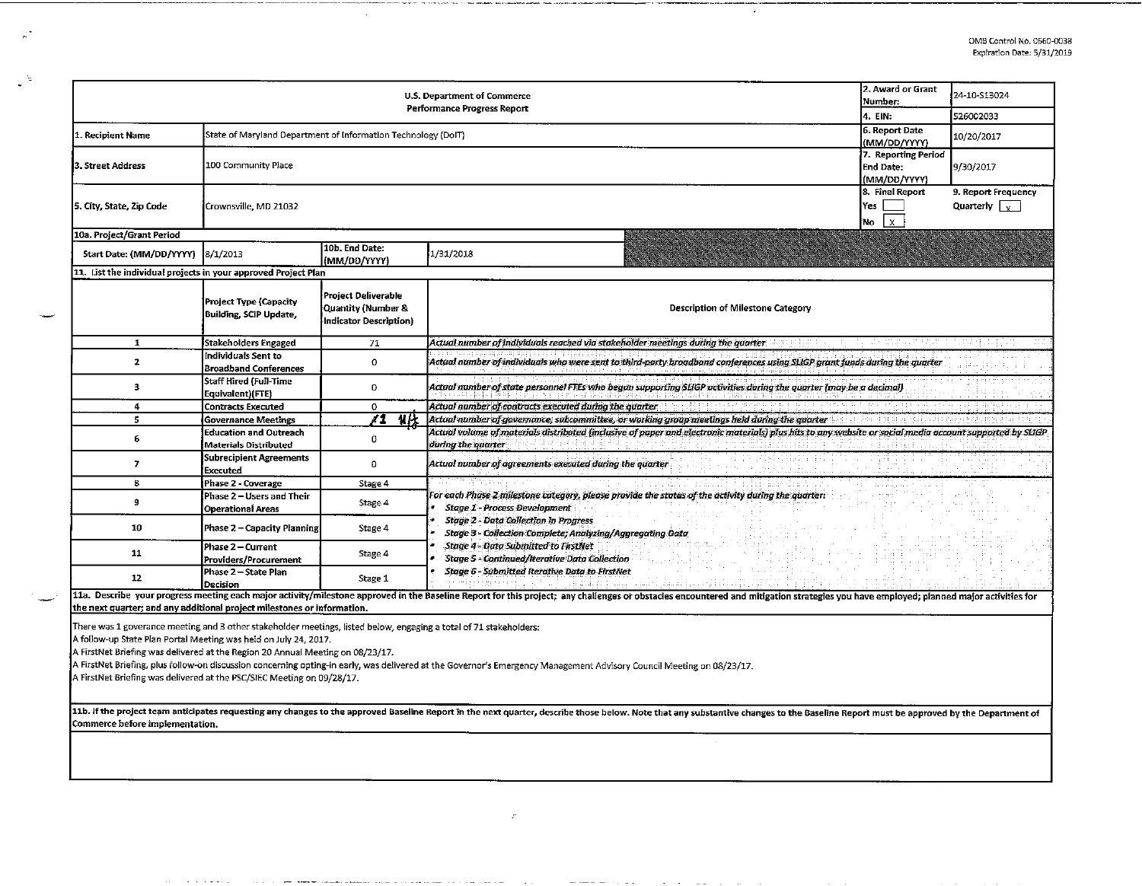| 2. Award or Grant<br>U.S. Department of Commerce<br>Number:<br>Performance Progress Report<br>4. EIN: |                                                                                               |                                                                                 |                                                                                                                                                                                                                                |                                                         | 24-10-S13024                                |  |  |
|-------------------------------------------------------------------------------------------------------|-----------------------------------------------------------------------------------------------|---------------------------------------------------------------------------------|--------------------------------------------------------------------------------------------------------------------------------------------------------------------------------------------------------------------------------|---------------------------------------------------------|---------------------------------------------|--|--|
|                                                                                                       |                                                                                               |                                                                                 |                                                                                                                                                                                                                                |                                                         | 526002033                                   |  |  |
| 11. Recipient Name                                                                                    |                                                                                               | 6. Report Date<br>State of Maryland Department of Information Technology (DoIT) |                                                                                                                                                                                                                                |                                                         |                                             |  |  |
| 3. Street Address                                                                                     | 100 Community Place                                                                           |                                                                                 |                                                                                                                                                                                                                                | 7. Reporting Period<br><b>End Date:</b><br>(MM/DD/YYYY) | 9/30/2017                                   |  |  |
| 5. City, State, Zip Code                                                                              | Crownsville, MD 21032                                                                         |                                                                                 |                                                                                                                                                                                                                                | 8. Final Report<br>Yes<br>Ιx.<br>'No                    | 9. Report Frequency<br>Quarterly $\sqrt{v}$ |  |  |
| 10a. Project/Grant Period                                                                             |                                                                                               |                                                                                 |                                                                                                                                                                                                                                |                                                         |                                             |  |  |
| Start Date: (MM/DD/YYYY) 8/1/2013                                                                     |                                                                                               | 10b. End Date:<br>(MM/DD/YYYY)                                                  | 1/31/2018                                                                                                                                                                                                                      |                                                         |                                             |  |  |
| 11. List the individual projects in your approved Project Plan                                        |                                                                                               |                                                                                 |                                                                                                                                                                                                                                |                                                         |                                             |  |  |
|                                                                                                       | Project Type (Capacity<br>Building, SCIP Update,                                              | <b>Project Deliverable</b><br>Quantity (Number &<br>Indicator Description)      | <b>Description of Milestone Category</b>                                                                                                                                                                                       |                                                         |                                             |  |  |
| 1                                                                                                     | Stakeholders Engaged                                                                          | 71                                                                              | Actual number of individuals reached via stakeholder meetings during the quarter                                                                                                                                               |                                                         |                                             |  |  |
| 2                                                                                                     | Individuals Sent to<br><b>Broadband Conferences</b>                                           | $\circ$                                                                         | Actual number of individuals who were sent to third-party broadband conferences using SLIGP grant funds during the quarter                                                                                                     |                                                         |                                             |  |  |
| 3                                                                                                     | Staff Hired (Full-Time<br>Equivalent)(FTE)                                                    | o                                                                               | Actual number of state personnel FTEs who began supporting SLIGP activities during the quarter (may be a decimal)                                                                                                              |                                                         |                                             |  |  |
| 4                                                                                                     | Contracts Executed                                                                            | 0                                                                               | Actual number of contracts executed during the quarter                                                                                                                                                                         |                                                         |                                             |  |  |
| 5                                                                                                     | <b>Governance Meetings</b>                                                                    | $\overline{u}$<br>∡1                                                            | Actual number of governance, subcommittee, or working group meetings held during the quarter                                                                                                                                   |                                                         |                                             |  |  |
| 6                                                                                                     | <b>Education and Outreach</b><br>Materials Distributed                                        | Ò                                                                               | Actual volume of materials distributed (inclusive of paper and electronic materials) plus hits to any website or social media account supported by SLIGP<br>during the quarter                                                 |                                                         |                                             |  |  |
| 7                                                                                                     | Subrecipient Agreements<br>Executed                                                           | $\Omega$                                                                        | Actual number of agreements executed during the quarter                                                                                                                                                                        |                                                         |                                             |  |  |
| 8                                                                                                     | Phase 2 - Coverage                                                                            | Stage 4                                                                         |                                                                                                                                                                                                                                |                                                         |                                             |  |  |
| 9                                                                                                     | Phase 2 – Users and Their<br><b>Operational Areas</b>                                         | Stage 4                                                                         | For each Phase 2 milestone category, please provide the status of the activity during the quarter:<br>Stage 1 - Process Development                                                                                            |                                                         |                                             |  |  |
| 10                                                                                                    | Phase 2 - Capacity Planning                                                                   | Stage 4                                                                         | <b>Stage 2 - Data Collection in Progress</b><br>Stage 3 - Collection Complete; Analyzing/Aggregating Data                                                                                                                      |                                                         |                                             |  |  |
| 11                                                                                                    | Phase 2 - Current<br>Providers/Procurement                                                    | Stage 4                                                                         | Stage 4 - Data Submitted to FirstNet<br><b>Stage 5 - Continued/Iterative Data Collection</b>                                                                                                                                   |                                                         |                                             |  |  |
| 12                                                                                                    | Stage 6 - Submitted Iterative Data to FirstNet<br>Phase 2 - State Plan<br>Stage 1<br>Decision |                                                                                 |                                                                                                                                                                                                                                |                                                         |                                             |  |  |
|                                                                                                       |                                                                                               |                                                                                 | 11a. Describe your progress meeting each major activity/milestone approved in the Baseline Report for this project; any challenges or obstacles encountered and mitigation strategies you have employed; planned major activit |                                                         |                                             |  |  |

 $\mathcal{L}$ 

the next quarter; and any additional project milestones or information.

There was 1 goverance meeting and 3 other stakeholder meetings, listed below, engaging a total of 71 stakeholders:

A follow-up State Pian Portal Meeting was held on July 24, 2017.

A FirstNet Briefing was delivered at the Region 20 Annual Meeting on 08/23/17.

A FirstNet Briefing, plus follow-on discussion concerning opting-in early, was delivered at the Governor's Emergency Management Advisory Council Meeting on 08/23/17.

A FirstNet Briefing was delivered at the PSC/SIEC Meeting on 09/28/17.

11b. If the project team anticipates requesting any changes to the approved Baseline Report in the next quarter, describe those below. Note that any substantive changes to the Baseline Report must be approved by the Depart Commerce before implementation.

 $\mathcal{F}$ 

à,

 $\mathcal{A}_\alpha$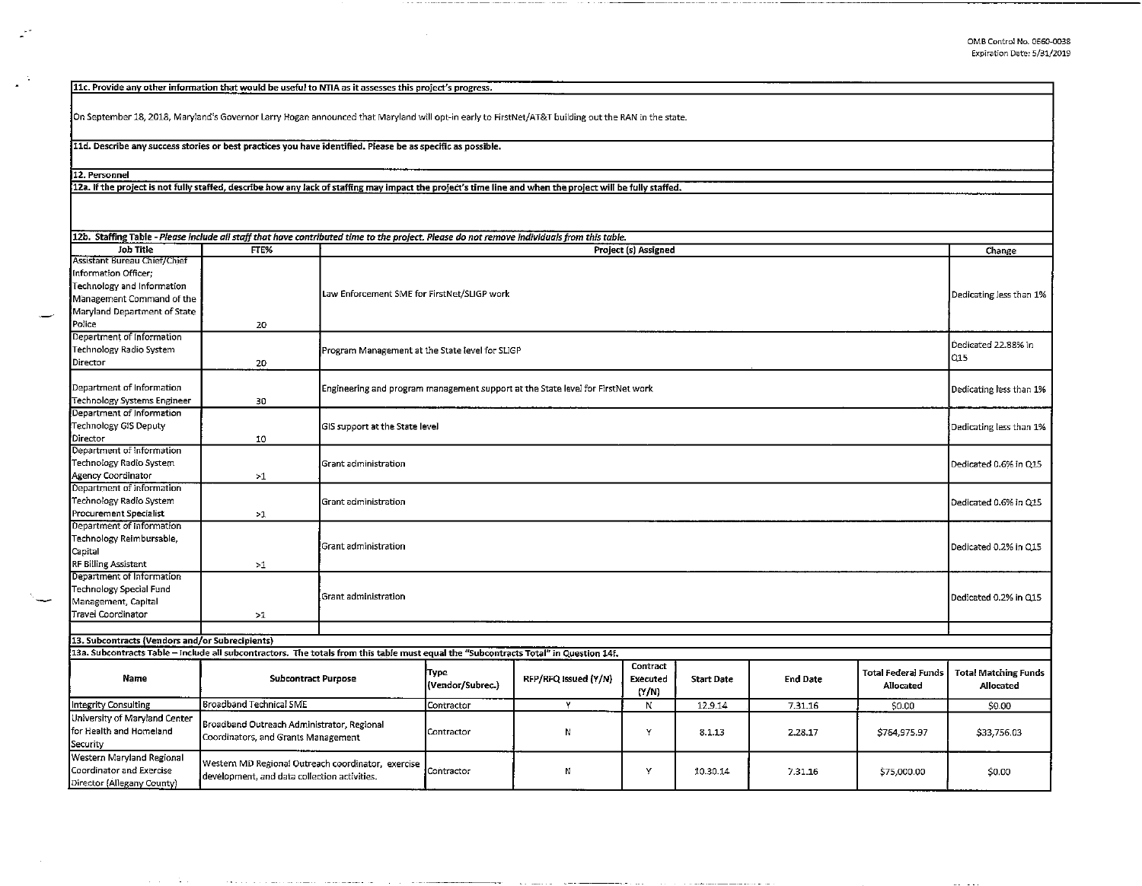11c. Provide any other information that would be useful to NTIA as it assesses this project's progress.

On September 18, 2018, Maryland's Governor Larry Hogan announced that Maryland will opt-in early to FirstNet/AT&T building out the RAN ln the state.

11d. Describe any success stories or best practices you have identified. Please be as specific as possible.

والشواط ساواتهم والراوات والمواد

 $\sim$   $\sim$ 

12. Personnel

 $\mathbb{R}^2$ 

 $\mathcal{L}_{\mathbf{a}}$  $\mathcal{L}$ 

12a. If the project is not fully staffed, describe how anv Jack of staffing may impact the project's time line and when the project will be fully staffed.

| <b>Job Title</b>                                                                                                                                | FTF%                                                                                               | 12b. Staffing Table - Please include all staff that have contributed time to the project. Please do not remove individuals from this table.<br>Project (s) Assigned |                                                                                                            |                      |                               |                   |                 | Change                                  |                                   |
|-------------------------------------------------------------------------------------------------------------------------------------------------|----------------------------------------------------------------------------------------------------|---------------------------------------------------------------------------------------------------------------------------------------------------------------------|------------------------------------------------------------------------------------------------------------|----------------------|-------------------------------|-------------------|-----------------|-----------------------------------------|-----------------------------------|
| Assistant Bureau Chief/Chief<br>Information Officer;<br>Technology and Information<br>Management Command of the<br>Maryland Department of State |                                                                                                    |                                                                                                                                                                     | Law Enforcement SME for FirstNet/SLIGP work                                                                |                      |                               |                   |                 |                                         | Dedicating less than 1%           |
| Police                                                                                                                                          | 20                                                                                                 |                                                                                                                                                                     |                                                                                                            |                      |                               |                   |                 |                                         |                                   |
| Department of Information<br>Technology Radio System<br>Director                                                                                | 20                                                                                                 |                                                                                                                                                                     | Program Management at the State level for SLIGP                                                            |                      |                               |                   |                 |                                         | Dedicated 22.88% in<br>lQ15       |
| Department of Information<br><b>Technology Systems Engineer</b>                                                                                 | 30                                                                                                 |                                                                                                                                                                     | Engineering and program management support at the State level for FirstNet work<br>Dedicating less than 1% |                      |                               |                   |                 |                                         |                                   |
| Department of Information<br>Technology GIS Deputy<br>Director                                                                                  | 10                                                                                                 | GIS support at the State level                                                                                                                                      |                                                                                                            |                      |                               |                   |                 |                                         | Dedicating less than 1%           |
| Department of Information<br>Technology Radio System<br>Agency Coordinator                                                                      | $>1$                                                                                               | Grant administration                                                                                                                                                |                                                                                                            |                      |                               |                   |                 |                                         | Dedicated 0.6% in Q15             |
| Department of Information<br>Technology Radio System<br>Procurement Specialist                                                                  | >1                                                                                                 | Grant administration                                                                                                                                                |                                                                                                            |                      |                               |                   |                 |                                         | Dedicated 0.6% in Q15             |
| Department of Information<br>Technology Reimbursable,<br>Capital                                                                                |                                                                                                    | Grant administration                                                                                                                                                |                                                                                                            |                      |                               |                   |                 |                                         | Dedicated 0.2% in Q15             |
| <b>RF Billing Assistant</b>                                                                                                                     | >1                                                                                                 |                                                                                                                                                                     |                                                                                                            |                      |                               |                   |                 |                                         |                                   |
| Department of Information<br>Technology Special Fund<br>Management, Capital<br>Travel Coordinator                                               | >1                                                                                                 | Grant administration                                                                                                                                                |                                                                                                            |                      |                               |                   |                 | Dedicated 0.2% in Q15                   |                                   |
|                                                                                                                                                 |                                                                                                    |                                                                                                                                                                     |                                                                                                            |                      |                               |                   |                 |                                         |                                   |
| 13. Subcontracts (Vendors and/or Subrecipients)                                                                                                 |                                                                                                    |                                                                                                                                                                     |                                                                                                            |                      |                               |                   |                 |                                         |                                   |
| 13a. Subcontracts Table - Include all subcontractors. The totals from this table must equal the "Subcontracts Total" in Question 14f.           |                                                                                                    |                                                                                                                                                                     |                                                                                                            |                      |                               |                   |                 |                                         |                                   |
| Name                                                                                                                                            | <b>Subcontract Purpose</b>                                                                         |                                                                                                                                                                     | Type<br>(Vendor/Subrec.)                                                                                   | RFP/RFQ issued (Y/N) | Contract<br>Executed<br>(Y/N) | <b>Start Date</b> | <b>End Date</b> | Total Federal Funds<br><b>Allocated</b> | Total Matching Funds<br>Allocated |
| Integrity Consulting                                                                                                                            | Broadband Technical SME                                                                            |                                                                                                                                                                     | Contractor                                                                                                 | Y                    | N                             | 12.9.14           | 7.31.16         | \$0.00                                  | \$0.00                            |
| University of Maryland Center<br>for Health and Homeland<br>Security                                                                            | Broadband Outreach Administrator, Regional<br>Coordinators, and Grants Management                  |                                                                                                                                                                     | Contractor                                                                                                 | И                    | Y                             | 8.1.13            | 2.28.17         | \$764,975.97                            | \$33,756.03                       |
| Western Maryland Regional<br>Coordinator and Exercise<br>Director (Allegany County)                                                             | Western MD Regional Outreach coordinator, exercise<br>development, and data collection activities. |                                                                                                                                                                     | Contractor                                                                                                 | N                    | Y                             | 10.30.14          | 7.31.16         | \$75,000.00                             | \$0.00                            |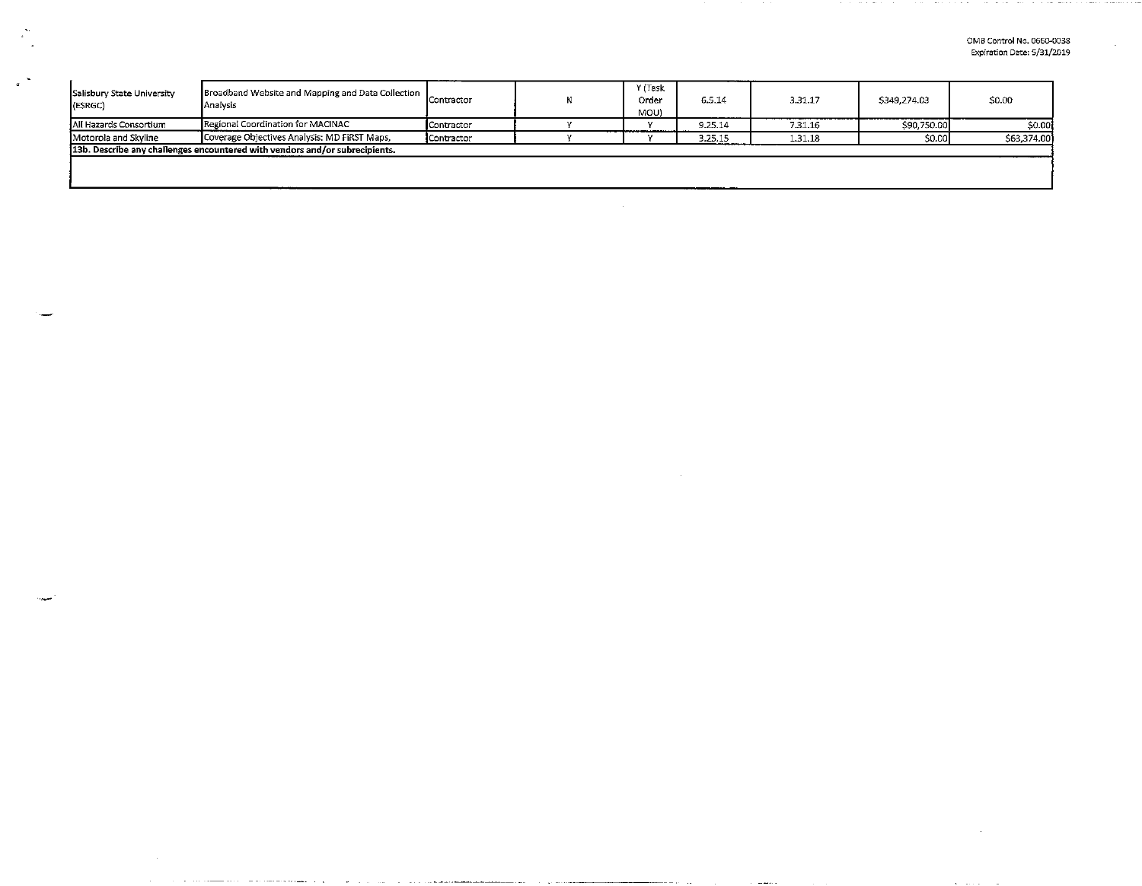**Contact Contact**  $\sim$ 

| Salisbury State University<br>(ESRGC)                                       | Broadband Website and Mapping and Data Collection<br>Analysis |            |  | Y (Task<br>Order<br>(UOM | 6.5.14  | 3.31.17 | \$349,274.03 | \$0.00      |  |
|-----------------------------------------------------------------------------|---------------------------------------------------------------|------------|--|--------------------------|---------|---------|--------------|-------------|--|
| All Hazards Consortium                                                      | Regional Coordination for MACINAC                             | Contractor |  |                          | 9.25.14 | 7.31.16 | \$90,750.00  | \$0.00      |  |
| Coverage Objectives Analysis: MD FIRST Maps,<br>Motorola and Skyline        |                                                               | Contractor |  |                          | 3.25.15 | 1.31.18 | \$0.00]      | \$63,374,00 |  |
| 13b. Describe any challenges encountered with vendors and/or subrecipients. |                                                               |            |  |                          |         |         |              |             |  |
|                                                                             |                                                               |            |  |                          |         |         |              |             |  |
|                                                                             |                                                               |            |  |                          |         |         |              |             |  |

 $\mathbf{r}$ 

 $\omega$  , and  $\omega$  , and  $\omega$  , and  $\omega$  , and  $\omega$ 

مستوفي والمرابط والمرابط

.<br>. . .

e sa s